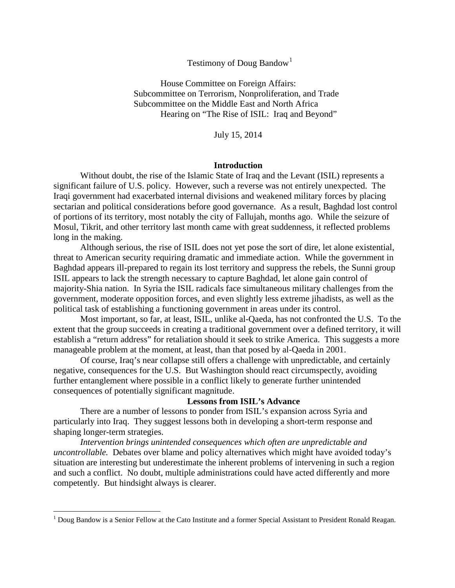## Testimony of Doug Bandow<sup>[1](#page-0-0)</sup>

House Committee on Foreign Affairs: Subcommittee on Terrorism, Nonproliferation, and Trade Subcommittee on the Middle East and North Africa Hearing on "The Rise of ISIL: Iraq and Beyond"

July 15, 2014

## **Introduction**

Without doubt, the rise of the Islamic State of Iraq and the Levant (ISIL) represents a significant failure of U.S. policy. However, such a reverse was not entirely unexpected. The Iraqi government had exacerbated internal divisions and weakened military forces by placing sectarian and political considerations before good governance. As a result, Baghdad lost control of portions of its territory, most notably the city of Fallujah, months ago. While the seizure of Mosul, Tikrit, and other territory last month came with great suddenness, it reflected problems long in the making.

Although serious, the rise of ISIL does not yet pose the sort of dire, let alone existential, threat to American security requiring dramatic and immediate action. While the government in Baghdad appears ill-prepared to regain its lost territory and suppress the rebels, the Sunni group ISIL appears to lack the strength necessary to capture Baghdad, let alone gain control of majority-Shia nation. In Syria the ISIL radicals face simultaneous military challenges from the government, moderate opposition forces, and even slightly less extreme jihadists, as well as the political task of establishing a functioning government in areas under its control.

Most important, so far, at least, ISIL, unlike al-Qaeda, has not confronted the U.S. To the extent that the group succeeds in creating a traditional government over a defined territory, it will establish a "return address" for retaliation should it seek to strike America. This suggests a more manageable problem at the moment, at least, than that posed by al-Qaeda in 2001.

Of course, Iraq's near collapse still offers a challenge with unpredictable, and certainly negative, consequences for the U.S. But Washington should react circumspectly, avoiding further entanglement where possible in a conflict likely to generate further unintended consequences of potentially significant magnitude.

## **Lessons from ISIL's Advance**

There are a number of lessons to ponder from ISIL's expansion across Syria and particularly into Iraq. They suggest lessons both in developing a short-term response and shaping longer-term strategies.

*Intervention brings unintended consequences which often are unpredictable and uncontrollable.* Debates over blame and policy alternatives which might have avoided today's situation are interesting but underestimate the inherent problems of intervening in such a region and such a conflict. No doubt, multiple administrations could have acted differently and more competently. But hindsight always is clearer.

<span id="page-0-0"></span><sup>&</sup>lt;sup>1</sup> Doug Bandow is a Senior Fellow at the Cato Institute and a former Special Assistant to President Ronald Reagan.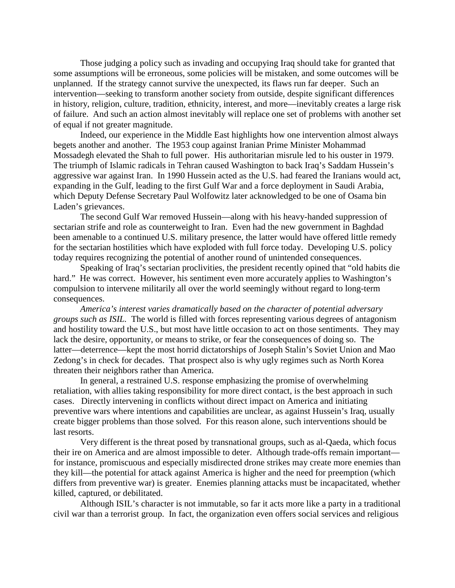Those judging a policy such as invading and occupying Iraq should take for granted that some assumptions will be erroneous, some policies will be mistaken, and some outcomes will be unplanned. If the strategy cannot survive the unexpected, its flaws run far deeper. Such an intervention—seeking to transform another society from outside, despite significant differences in history, religion, culture, tradition, ethnicity, interest, and more—inevitably creates a large risk of failure. And such an action almost inevitably will replace one set of problems with another set of equal if not greater magnitude.

Indeed, our experience in the Middle East highlights how one intervention almost always begets another and another. The 1953 coup against Iranian Prime Minister Mohammad Mossadegh elevated the Shah to full power. His authoritarian misrule led to his ouster in 1979. The triumph of Islamic radicals in Tehran caused Washington to back Iraq's Saddam Hussein's aggressive war against Iran. In 1990 Hussein acted as the U.S. had feared the Iranians would act, expanding in the Gulf, leading to the first Gulf War and a force deployment in Saudi Arabia, which Deputy Defense Secretary Paul Wolfowitz later acknowledged to be one of Osama bin Laden's grievances.

The second Gulf War removed Hussein—along with his heavy-handed suppression of sectarian strife and role as counterweight to Iran. Even had the new government in Baghdad been amenable to a continued U.S. military presence, the latter would have offered little remedy for the sectarian hostilities which have exploded with full force today. Developing U.S. policy today requires recognizing the potential of another round of unintended consequences.

Speaking of Iraq's sectarian proclivities, the president recently opined that "old habits die hard." He was correct. However, his sentiment even more accurately applies to Washington's compulsion to intervene militarily all over the world seemingly without regard to long-term consequences.

*America's interest varies dramatically based on the character of potential adversary groups such as ISIL.* The world is filled with forces representing various degrees of antagonism and hostility toward the U.S., but most have little occasion to act on those sentiments. They may lack the desire, opportunity, or means to strike, or fear the consequences of doing so. The latter—deterrence—kept the most horrid dictatorships of Joseph Stalin's Soviet Union and Mao Zedong's in check for decades. That prospect also is why ugly regimes such as North Korea threaten their neighbors rather than America.

In general, a restrained U.S. response emphasizing the promise of overwhelming retaliation, with allies taking responsibility for more direct contact, is the best approach in such cases. Directly intervening in conflicts without direct impact on America and initiating preventive wars where intentions and capabilities are unclear, as against Hussein's Iraq, usually create bigger problems than those solved. For this reason alone, such interventions should be last resorts.

Very different is the threat posed by transnational groups, such as al-Qaeda, which focus their ire on America and are almost impossible to deter. Although trade-offs remain important for instance, promiscuous and especially misdirected drone strikes may create more enemies than they kill—the potential for attack against America is higher and the need for preemption (which differs from preventive war) is greater. Enemies planning attacks must be incapacitated, whether killed, captured, or debilitated.

Although ISIL's character is not immutable, so far it acts more like a party in a traditional civil war than a terrorist group. In fact, the organization even offers social services and religious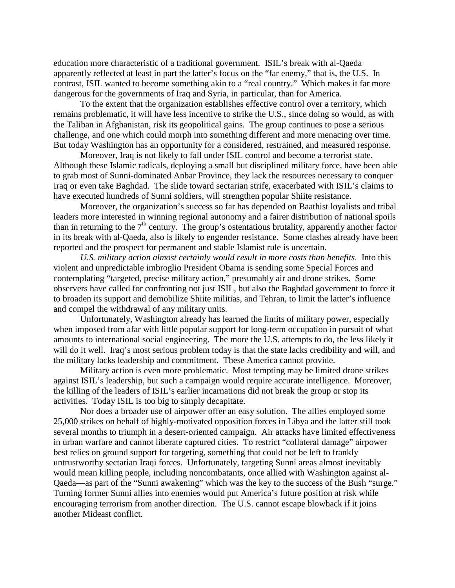education more characteristic of a traditional government. ISIL's break with al-Qaeda apparently reflected at least in part the latter's focus on the "far enemy," that is, the U.S. In contrast, ISIL wanted to become something akin to a "real country." Which makes it far more dangerous for the governments of Iraq and Syria, in particular, than for America.

To the extent that the organization establishes effective control over a territory, which remains problematic, it will have less incentive to strike the U.S., since doing so would, as with the Taliban in Afghanistan, risk its geopolitical gains. The group continues to pose a serious challenge, and one which could morph into something different and more menacing over time. But today Washington has an opportunity for a considered, restrained, and measured response.

Moreover, Iraq is not likely to fall under ISIL control and become a terrorist state. Although these Islamic radicals, deploying a small but disciplined military force, have been able to grab most of Sunni-dominated Anbar Province, they lack the resources necessary to conquer Iraq or even take Baghdad. The slide toward sectarian strife, exacerbated with ISIL's claims to have executed hundreds of Sunni soldiers, will strengthen popular Shiite resistance.

Moreover, the organization's success so far has depended on Baathist loyalists and tribal leaders more interested in winning regional autonomy and a fairer distribution of national spoils than in returning to the  $7<sup>th</sup>$  century. The group's ostentatious brutality, apparently another factor in its break with al-Qaeda, also is likely to engender resistance. Some clashes already have been reported and the prospect for permanent and stable Islamist rule is uncertain.

*U.S. military action almost certainly would result in more costs than benefits.* Into this violent and unpredictable imbroglio President Obama is sending some Special Forces and contemplating "targeted, precise military action," presumably air and drone strikes. Some observers have called for confronting not just ISIL, but also the Baghdad government to force it to broaden its support and demobilize Shiite militias, and Tehran, to limit the latter's influence and compel the withdrawal of any military units.

Unfortunately, Washington already has learned the limits of military power, especially when imposed from afar with little popular support for long-term occupation in pursuit of what amounts to international social engineering. The more the U.S. attempts to do, the less likely it will do it well. Iraq's most serious problem today is that the state lacks credibility and will, and the military lacks leadership and commitment. These America cannot provide.

Military action is even more problematic. Most tempting may be limited drone strikes against ISIL's leadership, but such a campaign would require accurate intelligence. Moreover, the killing of the leaders of ISIL's earlier incarnations did not break the group or stop its activities. Today ISIL is too big to simply decapitate.

Nor does a broader use of airpower offer an easy solution. The allies employed some 25,000 strikes on behalf of highly-motivated opposition forces in Libya and the latter still took several months to triumph in a desert-oriented campaign. Air attacks have limited effectiveness in urban warfare and cannot liberate captured cities. To restrict "collateral damage" airpower best relies on ground support for targeting, something that could not be left to frankly untrustworthy sectarian Iraqi forces. Unfortunately, targeting Sunni areas almost inevitably would mean killing people, including noncombatants, once allied with Washington against al-Qaeda—as part of the "Sunni awakening" which was the key to the success of the Bush "surge." Turning former Sunni allies into enemies would put America's future position at risk while encouraging terrorism from another direction. The U.S. cannot escape blowback if it joins another Mideast conflict.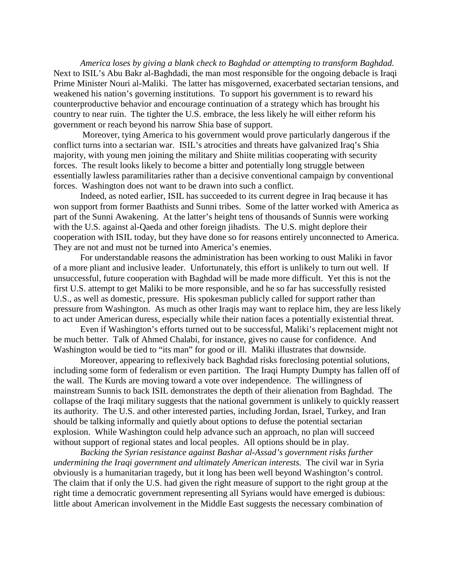*America loses by giving a blank check to Baghdad or attempting to transform Baghdad.* Next to ISIL's Abu Bakr al-Baghdadi, the man most responsible for the ongoing debacle is Iraqi Prime Minister Nouri al-Maliki. The latter has misgoverned, exacerbated sectarian tensions, and weakened his nation's governing institutions. To support his government is to reward his counterproductive behavior and encourage continuation of a strategy which has brought his country to near ruin. The tighter the U.S. embrace, the less likely he will either reform his government or reach beyond his narrow Shia base of support.

Moreover, tying America to his government would prove particularly dangerous if the conflict turns into a sectarian war. ISIL's atrocities and threats have galvanized Iraq's Shia majority, with young men joining the military and Shiite militias cooperating with security forces. The result looks likely to become a bitter and potentially long struggle between essentially lawless paramilitaries rather than a decisive conventional campaign by conventional forces. Washington does not want to be drawn into such a conflict.

Indeed, as noted earlier, ISIL has succeeded to its current degree in Iraq because it has won support from former Baathists and Sunni tribes. Some of the latter worked with America as part of the Sunni Awakening. At the latter's height tens of thousands of Sunnis were working with the U.S. against al-Qaeda and other foreign jihadists. The U.S. might deplore their cooperation with ISIL today, but they have done so for reasons entirely unconnected to America. They are not and must not be turned into America's enemies.

For understandable reasons the administration has been working to oust Maliki in favor of a more pliant and inclusive leader. Unfortunately, this effort is unlikely to turn out well. If unsuccessful, future cooperation with Baghdad will be made more difficult. Yet this is not the first U.S. attempt to get Maliki to be more responsible, and he so far has successfully resisted U.S., as well as domestic, pressure. His spokesman publicly called for support rather than pressure from Washington. As much as other Iraqis may want to replace him, they are less likely to act under American duress, especially while their nation faces a potentially existential threat.

Even if Washington's efforts turned out to be successful, Maliki's replacement might not be much better. Talk of Ahmed Chalabi, for instance, gives no cause for confidence. And Washington would be tied to "its man" for good or ill. Maliki illustrates that downside.

Moreover, appearing to reflexively back Baghdad risks foreclosing potential solutions, including some form of federalism or even partition. The Iraqi Humpty Dumpty has fallen off of the wall. The Kurds are moving toward a vote over independence. The willingness of mainstream Sunnis to back ISIL demonstrates the depth of their alienation from Baghdad. The collapse of the Iraqi military suggests that the national government is unlikely to quickly reassert its authority. The U.S. and other interested parties, including Jordan, Israel, Turkey, and Iran should be talking informally and quietly about options to defuse the potential sectarian explosion. While Washington could help advance such an approach, no plan will succeed without support of regional states and local peoples. All options should be in play.

*Backing the Syrian resistance against Bashar al-Assad's government risks further undermining the Iraqi government and ultimately American interests.* The civil war in Syria obviously is a humanitarian tragedy, but it long has been well beyond Washington's control. The claim that if only the U.S. had given the right measure of support to the right group at the right time a democratic government representing all Syrians would have emerged is dubious: little about American involvement in the Middle East suggests the necessary combination of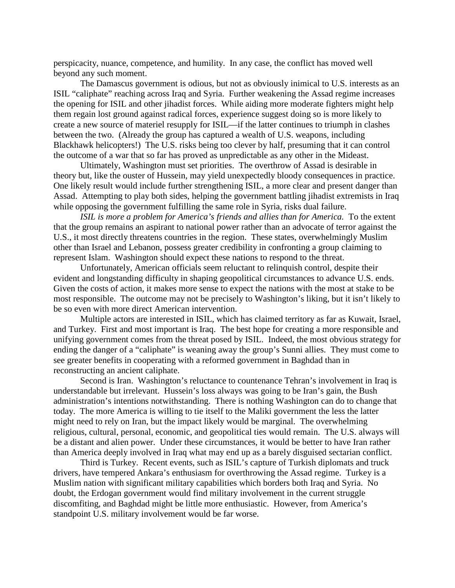perspicacity, nuance, competence, and humility. In any case, the conflict has moved well beyond any such moment.

The Damascus government is odious, but not as obviously inimical to U.S. interests as an ISIL "caliphate" reaching across Iraq and Syria. Further weakening the Assad regime increases the opening for ISIL and other jihadist forces. While aiding more moderate fighters might help them regain lost ground against radical forces, experience suggest doing so is more likely to create a new source of materiel resupply for ISIL—if the latter continues to triumph in clashes between the two. (Already the group has captured a wealth of U.S. weapons, including Blackhawk helicopters!) The U.S. risks being too clever by half, presuming that it can control the outcome of a war that so far has proved as unpredictable as any other in the Mideast.

Ultimately, Washington must set priorities. The overthrow of Assad is desirable in theory but, like the ouster of Hussein, may yield unexpectedly bloody consequences in practice. One likely result would include further strengthening ISIL, a more clear and present danger than Assad. Attempting to play both sides, helping the government battling jihadist extremists in Iraq while opposing the government fulfilling the same role in Syria, risks dual failure.

*ISIL is more a problem for America's friends and allies than for America.* To the extent that the group remains an aspirant to national power rather than an advocate of terror against the U.S., it most directly threatens countries in the region. These states, overwhelmingly Muslim other than Israel and Lebanon, possess greater credibility in confronting a group claiming to represent Islam. Washington should expect these nations to respond to the threat.

Unfortunately, American officials seem reluctant to relinquish control, despite their evident and longstanding difficulty in shaping geopolitical circumstances to advance U.S. ends. Given the costs of action, it makes more sense to expect the nations with the most at stake to be most responsible. The outcome may not be precisely to Washington's liking, but it isn't likely to be so even with more direct American intervention.

Multiple actors are interested in ISIL, which has claimed territory as far as Kuwait, Israel, and Turkey. First and most important is Iraq. The best hope for creating a more responsible and unifying government comes from the threat posed by ISIL. Indeed, the most obvious strategy for ending the danger of a "caliphate" is weaning away the group's Sunni allies. They must come to see greater benefits in cooperating with a reformed government in Baghdad than in reconstructing an ancient caliphate.

Second is Iran. Washington's reluctance to countenance Tehran's involvement in Iraq is understandable but irrelevant. Hussein's loss always was going to be Iran's gain, the Bush administration's intentions notwithstanding. There is nothing Washington can do to change that today. The more America is willing to tie itself to the Maliki government the less the latter might need to rely on Iran, but the impact likely would be marginal. The overwhelming religious, cultural, personal, economic, and geopolitical ties would remain. The U.S. always will be a distant and alien power. Under these circumstances, it would be better to have Iran rather than America deeply involved in Iraq what may end up as a barely disguised sectarian conflict.

Third is Turkey. Recent events, such as ISIL's capture of Turkish diplomats and truck drivers, have tempered Ankara's enthusiasm for overthrowing the Assad regime. Turkey is a Muslim nation with significant military capabilities which borders both Iraq and Syria. No doubt, the Erdogan government would find military involvement in the current struggle discomfiting, and Baghdad might be little more enthusiastic. However, from America's standpoint U.S. military involvement would be far worse.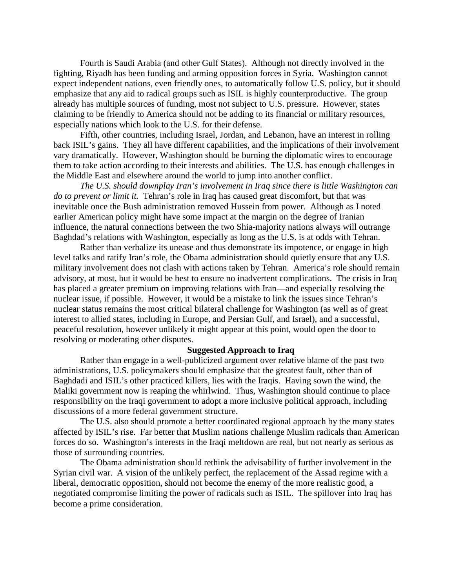Fourth is Saudi Arabia (and other Gulf States). Although not directly involved in the fighting, Riyadh has been funding and arming opposition forces in Syria. Washington cannot expect independent nations, even friendly ones, to automatically follow U.S. policy, but it should emphasize that any aid to radical groups such as ISIL is highly counterproductive. The group already has multiple sources of funding, most not subject to U.S. pressure. However, states claiming to be friendly to America should not be adding to its financial or military resources, especially nations which look to the U.S. for their defense.

Fifth, other countries, including Israel, Jordan, and Lebanon, have an interest in rolling back ISIL's gains. They all have different capabilities, and the implications of their involvement vary dramatically. However, Washington should be burning the diplomatic wires to encourage them to take action according to their interests and abilities. The U.S. has enough challenges in the Middle East and elsewhere around the world to jump into another conflict.

*The U.S. should downplay Iran's involvement in Iraq since there is little Washington can do to prevent or limit it.* Tehran's role in Iraq has caused great discomfort, but that was inevitable once the Bush administration removed Hussein from power. Although as I noted earlier American policy might have some impact at the margin on the degree of Iranian influence, the natural connections between the two Shia-majority nations always will outrange Baghdad's relations with Washington, especially as long as the U.S. is at odds with Tehran.

Rather than verbalize its unease and thus demonstrate its impotence, or engage in high level talks and ratify Iran's role, the Obama administration should quietly ensure that any U.S. military involvement does not clash with actions taken by Tehran. America's role should remain advisory, at most, but it would be best to ensure no inadvertent complications. The crisis in Iraq has placed a greater premium on improving relations with Iran—and especially resolving the nuclear issue, if possible. However, it would be a mistake to link the issues since Tehran's nuclear status remains the most critical bilateral challenge for Washington (as well as of great interest to allied states, including in Europe, and Persian Gulf, and Israel), and a successful, peaceful resolution, however unlikely it might appear at this point, would open the door to resolving or moderating other disputes.

## **Suggested Approach to Iraq**

Rather than engage in a well-publicized argument over relative blame of the past two administrations, U.S. policymakers should emphasize that the greatest fault, other than of Baghdadi and ISIL's other practiced killers, lies with the Iraqis. Having sown the wind, the Maliki government now is reaping the whirlwind. Thus, Washington should continue to place responsibility on the Iraqi government to adopt a more inclusive political approach, including discussions of a more federal government structure.

The U.S. also should promote a better coordinated regional approach by the many states affected by ISIL's rise. Far better that Muslim nations challenge Muslim radicals than American forces do so. Washington's interests in the Iraqi meltdown are real, but not nearly as serious as those of surrounding countries.

The Obama administration should rethink the advisability of further involvement in the Syrian civil war. A vision of the unlikely perfect, the replacement of the Assad regime with a liberal, democratic opposition, should not become the enemy of the more realistic good, a negotiated compromise limiting the power of radicals such as ISIL. The spillover into Iraq has become a prime consideration.